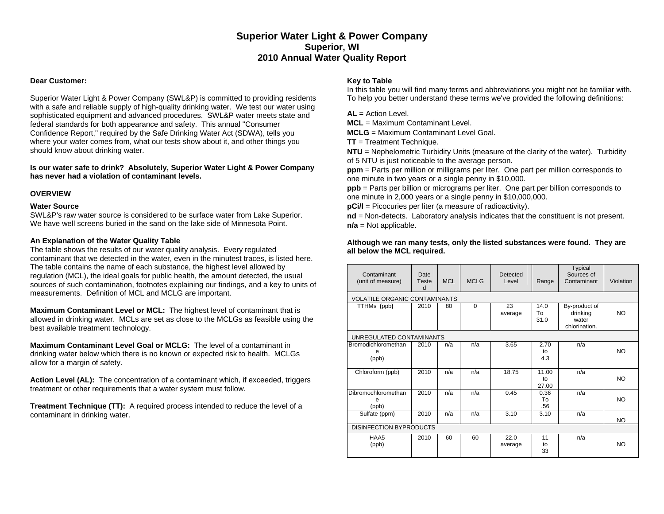# **Superior Water Light & Power Company Superior, WI 2010 Annual Water Quality Report**

## **Dear Customer:**

Superior Water Light & Power Company (SWL&P) is committed to providing residents with a safe and reliable supply of high-quality drinking water. We test our water using sophisticated equipment and advanced procedures. SWL&P water meets state and federal standards for both appearance and safety. This annual "Consumer Confidence Report," required by the Safe Drinking Water Act (SDWA), tells you where your water comes from, what our tests show about it, and other things you should know about drinking water.

**Is our water safe to drink? Absolutely, Superior Water Light & Power Company has never had a violation of contaminant levels.** 

## **OVERVIEW**

#### **Water Source**

SWL&P's raw water source is considered to be surface water from Lake Superior. We have well screens buried in the sand on the lake side of Minnesota Point.

#### **An Explanation of the Water Quality Table**

The table shows the results of our water quality analysis. Every regulated contaminant that we detected in the water, even in the minutest traces, is listed here. The table contains the name of each substance, the highest level allowed by regulation (MCL), the ideal goals for public health, the amount detected, the usual sources of such contamination, footnotes explaining our findings, and a key to units of measurements. Definition of MCL and MCLG are important.

**Maximum Contaminant Level or MCL:** The highest level of contaminant that is allowed in drinking water. MCLs are set as close to the MCLGs as feasible using the best available treatment technology.

**Maximum Contaminant Level Goal or MCLG:** The level of a contaminant in drinking water below which there is no known or expected risk to health. MCLGs allow for a margin of safety.

**Action Level (AL):** The concentration of a contaminant which, if exceeded, triggers treatment or other requirements that a water system must follow.

**Treatment Technique (TT):** A required process intended to reduce the level of a contaminant in drinking water.

## **Key to Table**

In this table you will find many terms and abbreviations you might not be familiar with. To help you better understand these terms we've provided the following definitions:

**AL** = Action Level.

**MCL** = Maximum Contaminant Level.

**MCLG** = Maximum Contaminant Level Goal.

**TT** = Treatment Technique.

**NTU** = Nephelometric Turbidity Units (measure of the clarity of the water). Turbidity of 5 NTU is just noticeable to the average person.

**ppm** = Parts per million or milligrams per liter. One part per million corresponds to one minute in two years or a single penny in \$10,000.

**ppb** = Parts per billion or micrograms per liter. One part per billion corresponds to one minute in 2,000 years or a single penny in \$10,000,000.

**pCi/l** = Picocuries per liter (a measure of radioactivity).

**nd** = Non-detects. Laboratory analysis indicates that the constituent is not present. **n/a** = Not applicable.

#### **Although we ran many tests, only the listed substances were found. They are all below the MCL required.**

| Contaminant<br>(unit of measure)     | Date<br>Teste<br>d | <b>MCL</b> | <b>MCLG</b> | Detected<br>Level | Range                | Typical<br>Sources of<br>Contaminant                | Violation |  |  |
|--------------------------------------|--------------------|------------|-------------|-------------------|----------------------|-----------------------------------------------------|-----------|--|--|
| <b>VOLATILE ORGANIC CONTAMINANTS</b> |                    |            |             |                   |                      |                                                     |           |  |  |
| TTHMs (ppb)                          | 2010               | 80         | $\Omega$    | 23<br>average     | 14.0<br>To<br>31.0   | By-product of<br>drinking<br>water<br>chlorination. | <b>NO</b> |  |  |
| UNREGULATED CONTAMINANTS             |                    |            |             |                   |                      |                                                     |           |  |  |
| Bromodichloromethan<br>e<br>(ppb)    | 2010               | n/a        | n/a         | 3.65              | 2.70<br>to<br>4.3    | n/a                                                 | <b>NO</b> |  |  |
| Chloroform (ppb)                     | 2010               | n/a        | n/a         | 18.75             | 11.00<br>to<br>27.00 | n/a                                                 | <b>NO</b> |  |  |
| Dibromochloromethan<br>(ppb)         | 2010               | n/a        | n/a         | 0.45              | 0.36<br>To<br>.56    | n/a                                                 | NO        |  |  |
| Sulfate (ppm)                        | 2010               | n/a        | n/a         | 3.10              | 3.10                 | n/a                                                 | NO.       |  |  |
| <b>DISINFECTION BYPRODUCTS</b>       |                    |            |             |                   |                      |                                                     |           |  |  |
| HAA5<br>(ppb)                        | 2010               | 60         | 60          | 22.0<br>average   | 11<br>to<br>33       | n/a                                                 | NO        |  |  |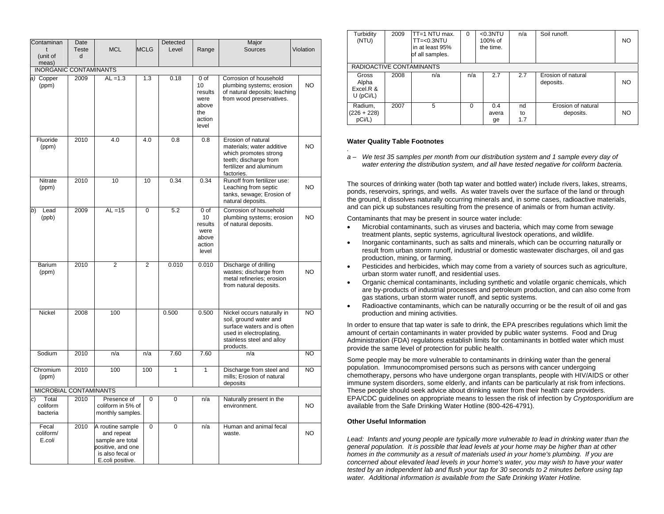| Contaminan                             | Date                                                                          |                                                                                                                 | Detected<br>Major |              |                                                           |                                                                                                                                                          |           |  |  |  |
|----------------------------------------|-------------------------------------------------------------------------------|-----------------------------------------------------------------------------------------------------------------|-------------------|--------------|-----------------------------------------------------------|----------------------------------------------------------------------------------------------------------------------------------------------------------|-----------|--|--|--|
| t                                      | <b>MCL</b><br><b>Teste</b>                                                    |                                                                                                                 | <b>MCLG</b>       | Level        | Range                                                     | <b>Sources</b>                                                                                                                                           | Violation |  |  |  |
| (unit of                               | d                                                                             |                                                                                                                 |                   |              |                                                           |                                                                                                                                                          |           |  |  |  |
| meas)<br><b>INORGANIC CONTAMINANTS</b> |                                                                               |                                                                                                                 |                   |              |                                                           |                                                                                                                                                          |           |  |  |  |
| a) Copper                              | 2009<br>$AL = 1.3$<br>1.3<br>0.18<br>0 <sub>o</sub><br>Corrosion of household |                                                                                                                 |                   |              |                                                           |                                                                                                                                                          |           |  |  |  |
| (ppm)                                  |                                                                               |                                                                                                                 |                   |              | 10<br>results<br>were<br>above<br>the<br>action<br>level  | plumbing systems; erosion<br>of natural deposits; leaching<br>from wood preservatives.                                                                   | NO.       |  |  |  |
| Fluoride                               | 2010                                                                          | 4.0                                                                                                             | 4.0               | 0.8          | 0.8                                                       | Erosion of natural                                                                                                                                       |           |  |  |  |
| (ppm)                                  |                                                                               |                                                                                                                 |                   |              |                                                           | materials; water additive<br>which promotes strong<br>teeth; discharge from<br>fertilizer and aluminum<br>factories.                                     | NO.       |  |  |  |
| Nitrate<br>(ppm)                       | 2010                                                                          | 10                                                                                                              | 10                | 0.34         | 0.34                                                      | Runoff from fertilizer use:<br>Leaching from septic<br>tanks, sewage; Erosion of<br>natural deposits.                                                    | NO.       |  |  |  |
| b)<br>Lead<br>(ppb)                    | 2009                                                                          | $AL = 15$                                                                                                       | 0                 | 5.2          | 0 of<br>10<br>results<br>were<br>above<br>action<br>level | Corrosion of household<br>plumbing systems; erosion<br>of natural deposits.                                                                              | NO.       |  |  |  |
| Barium<br>(ppm)                        | 2010                                                                          | $\overline{2}$                                                                                                  | $\overline{2}$    | 0.010        | 0.010                                                     | Discharge of drilling<br>wastes; discharge from<br>metal refineries; erosion<br>from natural deposits.                                                   | NO.       |  |  |  |
| Nickel                                 | 2008                                                                          | 100                                                                                                             |                   | 0.500        | 0.500                                                     | Nickel occurs naturally in<br>soil, ground water and<br>surface waters and is often<br>used in electroplating,<br>stainless steel and alloy<br>products. | NO        |  |  |  |
| Sodium                                 | 2010                                                                          | n/a                                                                                                             | n/a               | 7.60         | 7.60                                                      | n/a                                                                                                                                                      | NO        |  |  |  |
| Chromium<br>(ppm)                      | 2010                                                                          | 100                                                                                                             | 100               | $\mathbf{1}$ | $\mathbf{1}$                                              | Discharge from steel and<br>mills; Erosion of natural<br>deposits                                                                                        | NO.       |  |  |  |
| MICROBIAL CONTAMINANTS                 |                                                                               |                                                                                                                 |                   |              |                                                           |                                                                                                                                                          |           |  |  |  |
| Total<br>C)<br>coliform<br>bacteria    | 2010                                                                          | Presence of<br>$\Omega$<br>coliform in 5% of<br>monthly samples.                                                |                   | $\Omega$     | n/a                                                       | Naturally present in the<br>environment.                                                                                                                 | NO.       |  |  |  |
| Fecal<br>coliform/<br>E.coli           | 2010                                                                          | A routine sample<br>and repeat<br>sample are total<br>positive, and one<br>is also fecal or<br>E.coli positive. | $\Omega$          | $\Omega$     | n/a                                                       | Human and animal fecal<br>waste.                                                                                                                         | <b>NO</b> |  |  |  |

| Turbidity<br>(NTU)                         | 2009 | TT=1 NTU max.<br>$TT=<0.3NTU$<br>in at least 95%<br>of all samples. | $\Omega$ |  | $< 0.3$ NTU<br>100% of<br>the time. | n/a             | Soil runoff.                    | NO. |
|--------------------------------------------|------|---------------------------------------------------------------------|----------|--|-------------------------------------|-----------------|---------------------------------|-----|
| RADIOACTIVE CONTAMINANTS                   |      |                                                                     |          |  |                                     |                 |                                 |     |
| Gross<br>Alpha<br>Excel R &<br>$U$ (pCi/L) | 2008 | n/a                                                                 | n/a      |  | 2.7                                 | 2.7             | Erosion of natural<br>deposits. | NO. |
| Radium,<br>$(226 + 228)$<br>pCi/L)         | 2007 | 5                                                                   | $\Omega$ |  | 0.4<br>avera<br>ge                  | nd<br>to<br>1.7 | Erosion of natural<br>deposits. | NO. |

#### **Water Quality Table Footnotes**

*.* 

*a – We test 35 samples per month from our distribution system and 1 sample every day of water entering the distribution system, and all have tested negative for coliform bacteria.* 

The sources of drinking water (both tap water and bottled water) include rivers, lakes, streams, ponds, reservoirs, springs, and wells. As water travels over the surface of the land or through the ground, it dissolves naturally occurring minerals and, in some cases, radioactive materials, and can pick up substances resulting from the presence of animals or from human activity.

Contaminants that may be present in source water include:

- Microbial contaminants, such as viruses and bacteria, which may come from sewage treatment plants, septic systems, agricultural livestock operations, and wildlife.
- Inorganic contaminants, such as salts and minerals, which can be occurring naturally or result from urban storm runoff, industrial or domestic wastewater discharges, oil and gas production, mining, or farming.
- Pesticides and herbicides, which may come from a variety of sources such as agriculture, urban storm water runoff, and residential uses.
- Organic chemical contaminants, including synthetic and volatile organic chemicals, which are by-products of industrial processes and petroleum production, and can also come from gas stations, urban storm water runoff, and septic systems.
- Radioactive contaminants, which can be naturally occurring or be the result of oil and gas production and mining activities.

In order to ensure that tap water is safe to drink, the EPA prescribes regulations which limit the amount of certain contaminants in water provided by public water systems. Food and Drug Administration (FDA) regulations establish limits for contaminants in bottled water which must provide the same level of protection for public health.

Some people may be more vulnerable to contaminants in drinking water than the general population. Immunocompromised persons such as persons with cancer undergoing chemotherapy, persons who have undergone organ transplants, people with HIV/AIDS or other immune system disorders, some elderly, and infants can be particularly at risk from infections. These people should seek advice about drinking water from their health care providers. EPA/CDC guidelines on appropriate means to lessen the risk of infection by *Cryptosporidium* are available from the Safe Drinking Water Hotline (800-426-4791).

#### **Other Useful Information**

Lead: Infants and young people are typically more vulnerable to lead in drinking water than the *general population. It is possible that lead levels at your home may be higher than at other homes in the community as a result of materials used in your home's plumbing. If you are concerned about elevated lead levels in your home's water, you may wish to have your water tested by an independent lab and flush your tap for 30 seconds to 2 minutes before using tap water. Additional information is available from the Safe Drinking Water Hotline.*